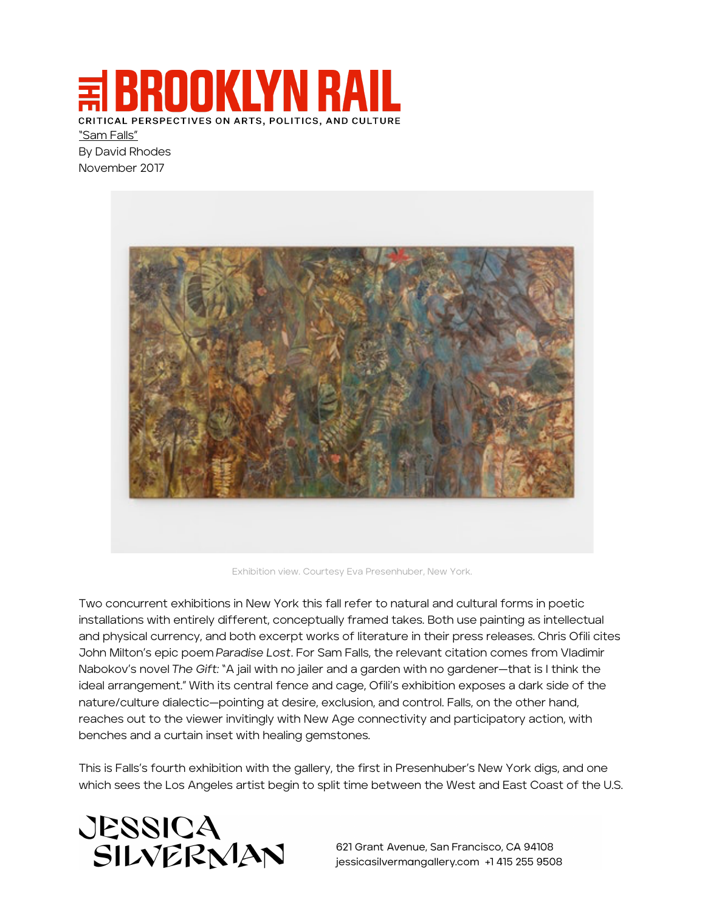**BROOKLYN R** CRITICAL PERSPECTIVES ON ARTS, POLITICS, AND CULTURE "Sam Falls"

By David Rhodes November 2017



Exhibition view. Courtesy Eva Presenhuber, New York.

Two concurrent exhibitions in New York this fall refer to natural and cultural forms in poetic installations with entirely different, conceptually framed takes. Both use painting as intellectual and physical currency, and both excerpt works of literature in their press releases. Chris Ofili cites John Milton's epic poem *Paradise Lost*. For Sam Falls, the relevant citation comes from Vladimir Nabokov's novel *The Gift:* "A jail with no jailer and a garden with no gardener—that is I think the ideal arrangement." With its central fence and cage, Ofili's exhibition exposes a dark side of the nature/culture dialectic—pointing at desire, exclusion, and control. Falls, on the other hand, reaches out to the viewer invitingly with New Age connectivity and participatory action, with benches and a curtain inset with healing gemstones.

This is Falls's fourth exhibition with the gallery, the first in Presenhuber's New York digs, and one which sees the Los Angeles artist begin to split time between the West and East Coast of the U.S.

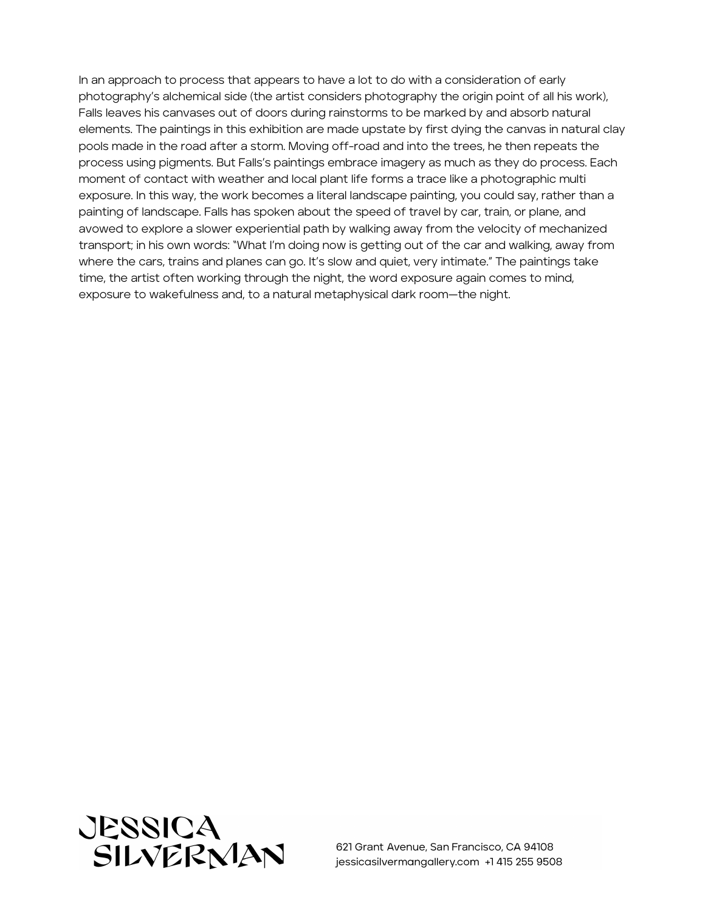In an approach to process that appears to have a lot to do with a consideration of early photography's alchemical side (the artist considers photography the origin point of all his work), Falls leaves his canvases out of doors during rainstorms to be marked by and absorb natural elements. The paintings in this exhibition are made upstate by first dying the canvas in natural clay pools made in the road after a storm. Moving off-road and into the trees, he then repeats the process using pigments. But Falls's paintings embrace imagery as much as they do process. Each moment of contact with weather and local plant life forms a trace like a photographic multi exposure. In this way, the work becomes a literal landscape painting, you could say, rather than a painting of landscape. Falls has spoken about the speed of travel by car, train, or plane, and avowed to explore a slower experiential path by walking away from the velocity of mechanized transport; in his own words: "What I'm doing now is getting out of the car and walking, away from where the cars, trains and planes can go. It's slow and quiet, very intimate." The paintings take time, the artist often working through the night, the word exposure again comes to mind, exposure to wakefulness and, to a natural metaphysical dark room—the night.

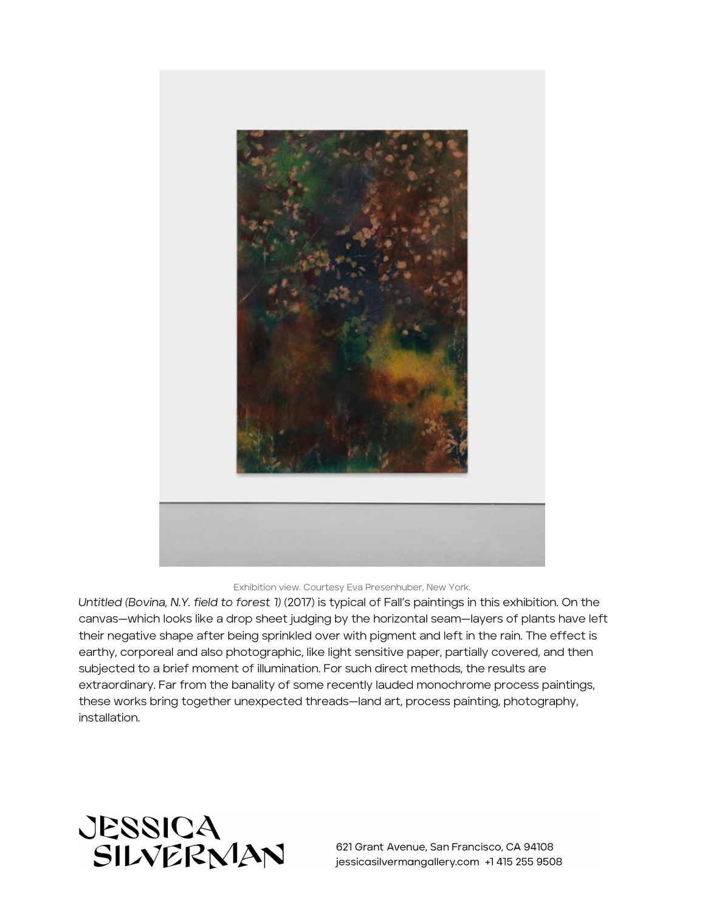

Exhibition view. Courtesy Eva Presenhuber, New York.

*Untitled (Bovina, N.Y. field to forest 1)* (2017) is typical of Fall's paintings in this exhibition. On the canvas—which looks like a drop sheet judging by the horizontal seam—layers of plants have left their negative shape after being sprinkled over with pigment and left in the rain. The effect is earthy, corporeal and also photographic, like light sensitive paper, partially covered, and then subjected to a brief moment of illumination. For such direct methods, the results are extraordinary. Far from the banality of some recently lauded monochrome process paintings, these works bring together unexpected threads—land art, process painting, photography, installation.